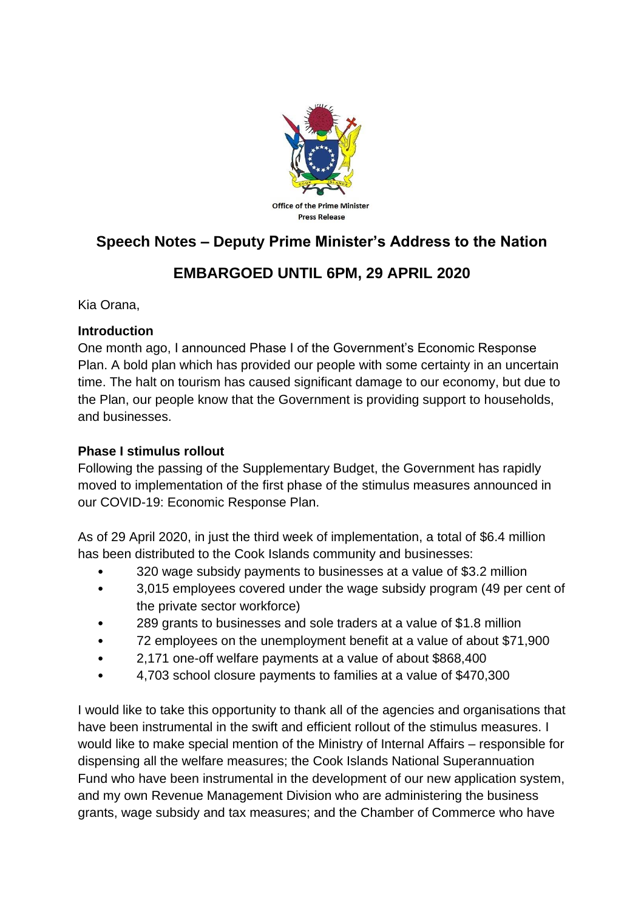

# **Speech Notes – Deputy Prime Minister's Address to the Nation**

## **EMBARGOED UNTIL 6PM, 29 APRIL 2020**

Kia Orana,

#### **Introduction**

One month ago, I announced Phase I of the Government's Economic Response Plan. A bold plan which has provided our people with some certainty in an uncertain time. The halt on tourism has caused significant damage to our economy, but due to the Plan, our people know that the Government is providing support to households, and businesses.

### **Phase I stimulus rollout**

Following the passing of the Supplementary Budget, the Government has rapidly moved to implementation of the first phase of the stimulus measures announced in our COVID-19: Economic Response Plan.

As of 29 April 2020, in just the third week of implementation, a total of \$6.4 million has been distributed to the Cook Islands community and businesses:

- 320 wage subsidy payments to businesses at a value of \$3.2 million
- 3,015 employees covered under the wage subsidy program (49 per cent of the private sector workforce)
- 289 grants to businesses and sole traders at a value of \$1.8 million
- 72 employees on the unemployment benefit at a value of about \$71,900
- 2,171 one-off welfare payments at a value of about \$868,400
- 4,703 school closure payments to families at a value of \$470,300

I would like to take this opportunity to thank all of the agencies and organisations that have been instrumental in the swift and efficient rollout of the stimulus measures. I would like to make special mention of the Ministry of Internal Affairs – responsible for dispensing all the welfare measures; the Cook Islands National Superannuation Fund who have been instrumental in the development of our new application system, and my own Revenue Management Division who are administering the business grants, wage subsidy and tax measures; and the Chamber of Commerce who have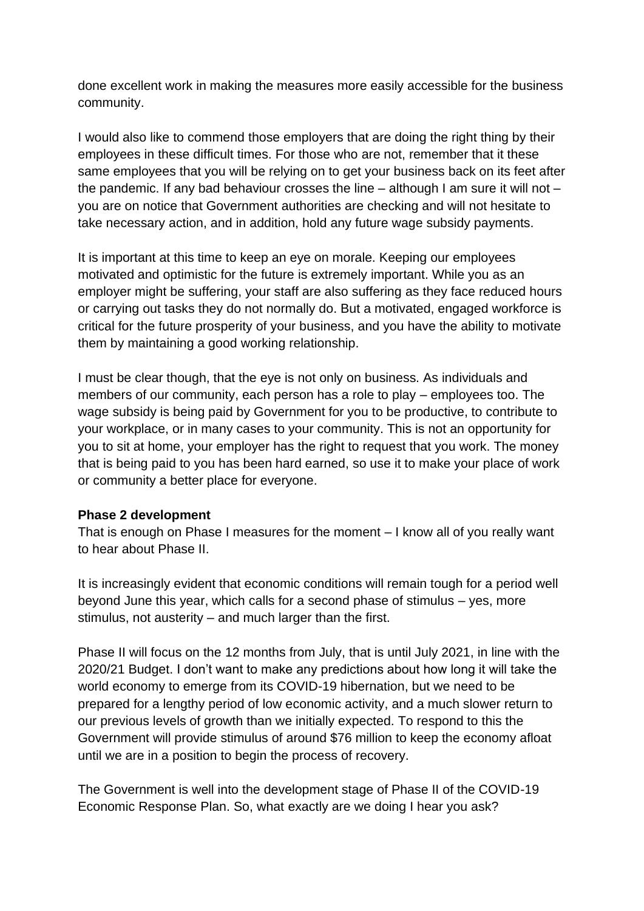done excellent work in making the measures more easily accessible for the business community.

I would also like to commend those employers that are doing the right thing by their employees in these difficult times. For those who are not, remember that it these same employees that you will be relying on to get your business back on its feet after the pandemic. If any bad behaviour crosses the line – although I am sure it will not – you are on notice that Government authorities are checking and will not hesitate to take necessary action, and in addition, hold any future wage subsidy payments.

It is important at this time to keep an eye on morale. Keeping our employees motivated and optimistic for the future is extremely important. While you as an employer might be suffering, your staff are also suffering as they face reduced hours or carrying out tasks they do not normally do. But a motivated, engaged workforce is critical for the future prosperity of your business, and you have the ability to motivate them by maintaining a good working relationship.

I must be clear though, that the eye is not only on business. As individuals and members of our community, each person has a role to play – employees too. The wage subsidy is being paid by Government for you to be productive, to contribute to your workplace, or in many cases to your community. This is not an opportunity for you to sit at home, your employer has the right to request that you work. The money that is being paid to you has been hard earned, so use it to make your place of work or community a better place for everyone.

#### **Phase 2 development**

That is enough on Phase I measures for the moment – I know all of you really want to hear about Phase II.

It is increasingly evident that economic conditions will remain tough for a period well beyond June this year, which calls for a second phase of stimulus – yes, more stimulus, not austerity – and much larger than the first.

Phase II will focus on the 12 months from July, that is until July 2021, in line with the 2020/21 Budget. I don't want to make any predictions about how long it will take the world economy to emerge from its COVID-19 hibernation, but we need to be prepared for a lengthy period of low economic activity, and a much slower return to our previous levels of growth than we initially expected. To respond to this the Government will provide stimulus of around \$76 million to keep the economy afloat until we are in a position to begin the process of recovery.

The Government is well into the development stage of Phase II of the COVID-19 Economic Response Plan. So, what exactly are we doing I hear you ask?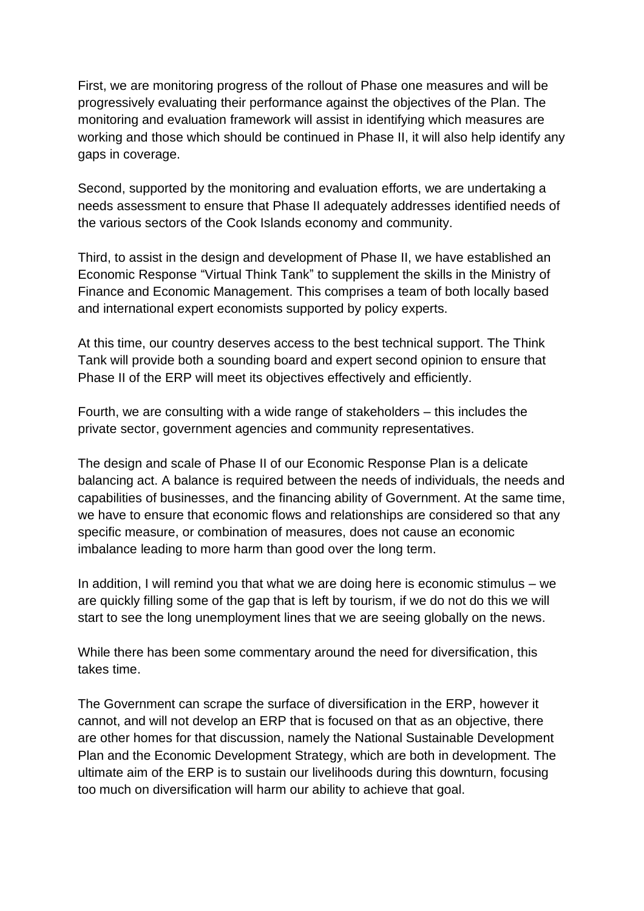First, we are monitoring progress of the rollout of Phase one measures and will be progressively evaluating their performance against the objectives of the Plan. The monitoring and evaluation framework will assist in identifying which measures are working and those which should be continued in Phase II, it will also help identify any gaps in coverage.

Second, supported by the monitoring and evaluation efforts, we are undertaking a needs assessment to ensure that Phase II adequately addresses identified needs of the various sectors of the Cook Islands economy and community.

Third, to assist in the design and development of Phase II, we have established an Economic Response "Virtual Think Tank" to supplement the skills in the Ministry of Finance and Economic Management. This comprises a team of both locally based and international expert economists supported by policy experts.

At this time, our country deserves access to the best technical support. The Think Tank will provide both a sounding board and expert second opinion to ensure that Phase II of the ERP will meet its objectives effectively and efficiently.

Fourth, we are consulting with a wide range of stakeholders – this includes the private sector, government agencies and community representatives.

The design and scale of Phase II of our Economic Response Plan is a delicate balancing act. A balance is required between the needs of individuals, the needs and capabilities of businesses, and the financing ability of Government. At the same time, we have to ensure that economic flows and relationships are considered so that any specific measure, or combination of measures, does not cause an economic imbalance leading to more harm than good over the long term.

In addition, I will remind you that what we are doing here is economic stimulus – we are quickly filling some of the gap that is left by tourism, if we do not do this we will start to see the long unemployment lines that we are seeing globally on the news.

While there has been some commentary around the need for diversification, this takes time.

The Government can scrape the surface of diversification in the ERP, however it cannot, and will not develop an ERP that is focused on that as an objective, there are other homes for that discussion, namely the National Sustainable Development Plan and the Economic Development Strategy, which are both in development. The ultimate aim of the ERP is to sustain our livelihoods during this downturn, focusing too much on diversification will harm our ability to achieve that goal.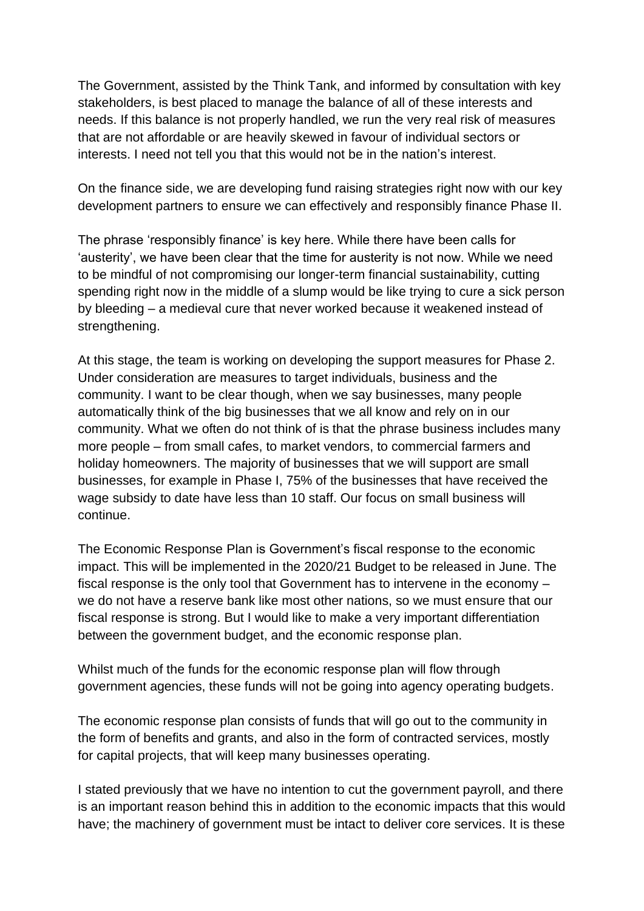The Government, assisted by the Think Tank, and informed by consultation with key stakeholders, is best placed to manage the balance of all of these interests and needs. If this balance is not properly handled, we run the very real risk of measures that are not affordable or are heavily skewed in favour of individual sectors or interests. I need not tell you that this would not be in the nation's interest.

On the finance side, we are developing fund raising strategies right now with our key development partners to ensure we can effectively and responsibly finance Phase II.

The phrase 'responsibly finance' is key here. While there have been calls for 'austerity', we have been clear that the time for austerity is not now. While we need to be mindful of not compromising our longer-term financial sustainability, cutting spending right now in the middle of a slump would be like trying to cure a sick person by bleeding – a medieval cure that never worked because it weakened instead of strengthening.

At this stage, the team is working on developing the support measures for Phase 2. Under consideration are measures to target individuals, business and the community. I want to be clear though, when we say businesses, many people automatically think of the big businesses that we all know and rely on in our community. What we often do not think of is that the phrase business includes many more people – from small cafes, to market vendors, to commercial farmers and holiday homeowners. The majority of businesses that we will support are small businesses, for example in Phase I, 75% of the businesses that have received the wage subsidy to date have less than 10 staff. Our focus on small business will continue.

The Economic Response Plan is Government's fiscal response to the economic impact. This will be implemented in the 2020/21 Budget to be released in June. The fiscal response is the only tool that Government has to intervene in the economy – we do not have a reserve bank like most other nations, so we must ensure that our fiscal response is strong. But I would like to make a very important differentiation between the government budget, and the economic response plan.

Whilst much of the funds for the economic response plan will flow through government agencies, these funds will not be going into agency operating budgets.

The economic response plan consists of funds that will go out to the community in the form of benefits and grants, and also in the form of contracted services, mostly for capital projects, that will keep many businesses operating.

I stated previously that we have no intention to cut the government payroll, and there is an important reason behind this in addition to the economic impacts that this would have; the machinery of government must be intact to deliver core services. It is these